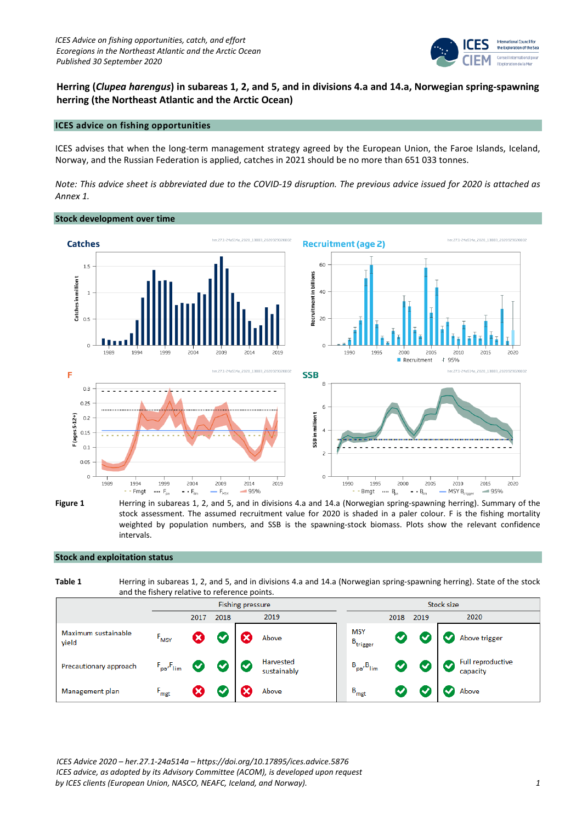

**Herring (***Clupea harengus***) in subareas 1, 2, and 5, and in divisions 4.a and 14.a, Norwegian spring-spawning herring (the Northeast Atlantic and the Arctic Ocean)**

# **ICES advice on fishing opportunities**

ICES advises that when the long-term management strategy agreed by the European Union, the Faroe Islands, Iceland, Norway, and the Russian Federation is applied, catches in 2021 should be no more than 651 033 tonnes.

*Note: This advice sheet is abbreviated due to the COVID-19 disruption. The previous advice issued for 2020 is attached as Annex 1.*



**Figure 1** Herring in subareas 1, 2, and 5, and in divisions 4.a and 14.a (Norwegian spring-spawning herring). Summary of the stock assessment. The assumed recruitment value for 2020 is shaded in a paler colour. F is the fishing mortality weighted by population numbers, and SSB is the spawning-stock biomass. Plots show the relevant confidence intervals.

# **Stock and exploitation status**

| Table 1 | Herring in subareas 1, 2, and 5, and in divisions 4.a and 14.a (Norwegian spring-spawning herring). State of the stock |
|---------|------------------------------------------------------------------------------------------------------------------------|
|         | and the fishery relative to reference points.                                                                          |

|                              | <b>Fishing pressure</b> |   |      |   | Stock size               |                                    |              |                      |                                            |
|------------------------------|-------------------------|---|------|---|--------------------------|------------------------------------|--------------|----------------------|--------------------------------------------|
|                              | 2019<br>2018<br>2017    |   | 2018 |   | 2019                     | 2020                               |              |                      |                                            |
| Maximum sustainable<br>yield | $F_{MSY}$               | × |      |   | Above                    | <b>MSY</b><br>$B_{\text{trigger}}$ |              |                      | Above trigger                              |
| Precautionary approach       | $F_{pa'}F_{lim}$        |   |      | о | Harvested<br>sustainably | $B_{pa}$ , $B_{lim}$               | $\checkmark$ | $\blacktriangledown$ | Full reproductive<br>$\bullet$<br>capacity |
| Management plan              | $F_{\text{mgt}}$        |   |      |   | Above                    | $B_{\text{mgt}}$                   |              |                      | Above                                      |

*ICES Advice 2020 – her.27.1-24a514a – https://doi.org/10.17895/ices.advice.5876 ICES advice, as adopted by its Advisory Committee (ACOM), is developed upon request by ICES clients (European Union, NASCO, NEAFC, Iceland, and Norway). 1*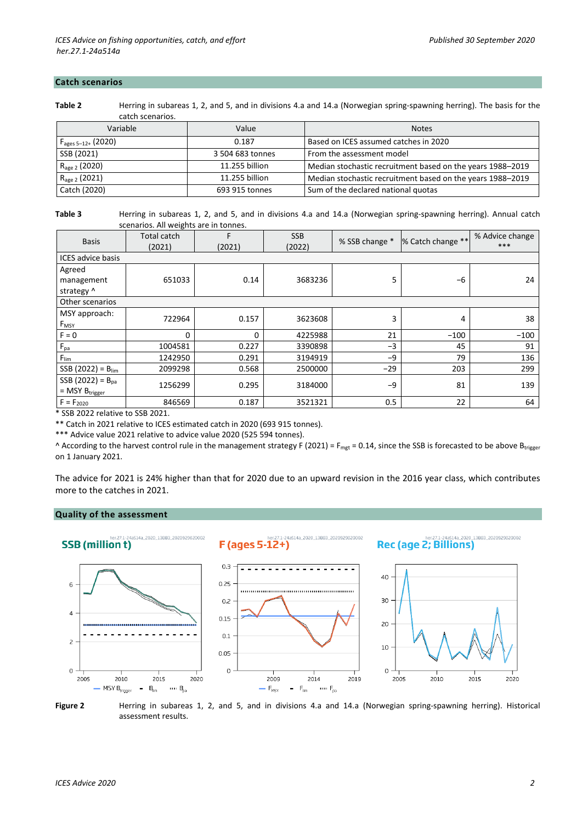#### **Catch scenarios**

**Table 2** Herring in subareas 1, 2, and 5, and in divisions 4.a and 14.a (Norwegian spring-spawning herring). The basis for the catch scenarios.

| Variable                      | Value            | <b>Notes</b>                                               |
|-------------------------------|------------------|------------------------------------------------------------|
| $F_{\text{ages }5-12+}(2020)$ | 0.187            | Based on ICES assumed catches in 2020                      |
| SSB (2021)                    | 3 504 683 tonnes | From the assessment model                                  |
| $R_{\text{age 2}}$ (2020)     | 11.255 billion   | Median stochastic recruitment based on the years 1988–2019 |
| $R_{\text{age 2}}(2021)$      | 11.255 billion   | Median stochastic recruitment based on the years 1988–2019 |
| Catch (2020)                  | 693 915 tonnes   | Sum of the declared national quotas                        |

**Table 3** Herring in subareas 1, 2, and 5, and in divisions 4.a and 14.a (Norwegian spring-spawning herring). Annual catch scenarios. All weights are in tonnes.

| <b>Basis</b>             | <b>Total catch</b><br>(2021) | F<br>(2021) | <b>SSB</b><br>(2022) | % SSB change * | % Catch change ** | % Advice change<br>*** |  |
|--------------------------|------------------------------|-------------|----------------------|----------------|-------------------|------------------------|--|
| <b>ICES</b> advice basis |                              |             |                      |                |                   |                        |  |
| Agreed                   |                              |             |                      |                |                   |                        |  |
| management               | 651033                       | 0.14        | 3683236              | 5              | -6                | 24                     |  |
| strategy ^               |                              |             |                      |                |                   |                        |  |
| Other scenarios          |                              |             |                      |                |                   |                        |  |
| MSY approach:            | 722964                       | 0.157       | 3623608              | 3              | 4                 | 38                     |  |
| F <sub>MSY</sub>         |                              |             |                      |                |                   |                        |  |
| $F = 0$                  | 0                            | 0           | 4225988              | 21             | $-100$            | $-100$                 |  |
| $F_{pa}$                 | 1004581                      | 0.227       | 3390898              | $-3$           | 45                | 91                     |  |
| $F_{\text{lim}}$         | 1242950                      | 0.291       | 3194919              | $-9$           | 79                | 136                    |  |
| $SSB (2022) = B_{lim}$   | 2099298                      | 0.568       | 2500000              | $-29$          | 203               | 299                    |  |
| SSB (2022) = $B_{pa}$    | 1256299                      | 0.295       | 3184000              | -9             | 81                | 139                    |  |
| $=$ MSY $B_{trigger}$    |                              |             |                      |                |                   |                        |  |
| $F = F_{2020}$           | 846569                       | 0.187       | 3521321              | 0.5            | 22                | 64                     |  |

\* SSB 2022 relative to SSB 2021.

\*\* Catch in 2021 relative to ICES estimated catch in 2020 (693 915 tonnes).

\*\*\* Advice value 2021 relative to advice value 2020 (525 594 tonnes).

^ According to the harvest control rule in the management strategy F (2021) = F<sub>mgt</sub> = 0.14, since the SSB is forecasted to be above B<sub>trigger</sub> on 1 January 2021.

The advice for 2021 is 24% higher than that for 2020 due to an upward revision in the 2016 year class, which contributes more to the catches in 2021.

# **Quality of the assessment**



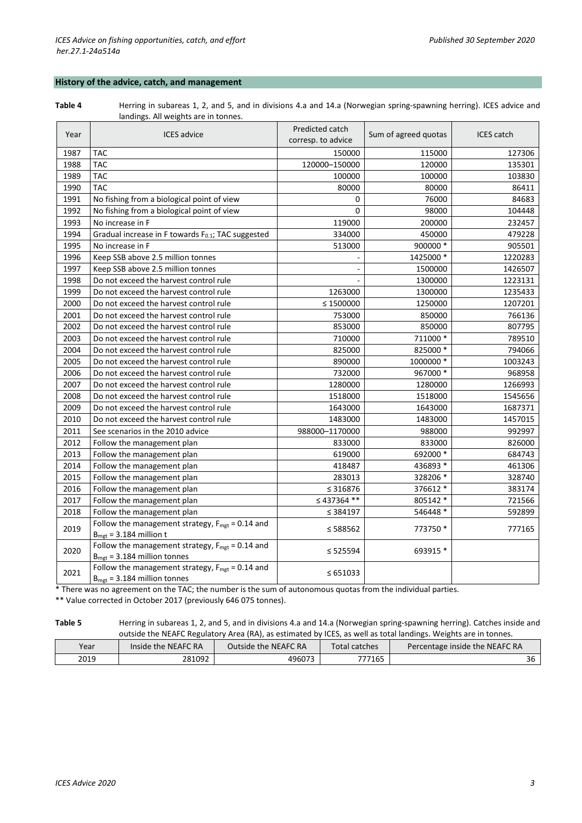# **History of the advice, catch, and management**

**Table 4** Herring in subareas 1, 2, and 5, and in divisions 4.a and 14.a (Norwegian spring-spawning herring). ICES advice and landings. All weights are in tonnes.

| Year | <b>ICES</b> advice                                                                                     | Predicted catch<br>corresp. to advice | Sum of agreed quotas | <b>ICES</b> catch |  |
|------|--------------------------------------------------------------------------------------------------------|---------------------------------------|----------------------|-------------------|--|
| 1987 | <b>TAC</b>                                                                                             | 150000                                | 115000               | 127306            |  |
| 1988 | <b>TAC</b>                                                                                             | 120000-150000                         | 120000               | 135301            |  |
| 1989 | <b>TAC</b>                                                                                             | 100000                                | 100000               | 103830            |  |
| 1990 | <b>TAC</b>                                                                                             | 80000                                 | 80000                | 86411             |  |
| 1991 | No fishing from a biological point of view                                                             | 0                                     | 76000                | 84683             |  |
| 1992 | No fishing from a biological point of view                                                             | 0                                     | 98000                | 104448            |  |
| 1993 | No increase in F                                                                                       | 119000                                | 200000               | 232457            |  |
| 1994 | Gradual increase in F towards F <sub>0.1</sub> ; TAC suggested                                         | 334000                                | 450000               | 479228            |  |
| 1995 | No increase in F                                                                                       | 513000                                | 900000 *             | 905501            |  |
| 1996 | Keep SSB above 2.5 million tonnes                                                                      |                                       | 1425000 *            | 1220283           |  |
| 1997 | Keep SSB above 2.5 million tonnes                                                                      |                                       | 1500000              | 1426507           |  |
| 1998 | Do not exceed the harvest control rule                                                                 |                                       | 1300000              | 1223131           |  |
| 1999 | Do not exceed the harvest control rule                                                                 | 1263000                               | 1300000              | 1235433           |  |
| 2000 | Do not exceed the harvest control rule                                                                 | $\leq 1500000$                        | 1250000              | 1207201           |  |
| 2001 | Do not exceed the harvest control rule                                                                 | 753000                                | 850000               | 766136            |  |
| 2002 | Do not exceed the harvest control rule                                                                 | 853000                                | 850000               | 807795            |  |
| 2003 | Do not exceed the harvest control rule                                                                 | 710000                                | 711000 *             | 789510            |  |
| 2004 | Do not exceed the harvest control rule                                                                 | 825000                                | 825000 *             | 794066            |  |
| 2005 | Do not exceed the harvest control rule                                                                 | 890000                                | 1000000 *            | 1003243           |  |
| 2006 | Do not exceed the harvest control rule                                                                 | 732000                                | 967000 *             | 968958            |  |
| 2007 | Do not exceed the harvest control rule                                                                 | 1280000                               | 1280000              | 1266993           |  |
| 2008 | Do not exceed the harvest control rule                                                                 | 1518000                               | 1518000              | 1545656           |  |
| 2009 | Do not exceed the harvest control rule                                                                 | 1643000                               | 1643000              | 1687371           |  |
| 2010 | Do not exceed the harvest control rule                                                                 | 1483000                               | 1483000              | 1457015           |  |
| 2011 | See scenarios in the 2010 advice                                                                       | 988000-1170000                        | 988000               | 992997            |  |
| 2012 | Follow the management plan                                                                             | 833000                                | 833000               | 826000            |  |
| 2013 | Follow the management plan                                                                             | 619000                                | 692000 *             | 684743            |  |
| 2014 | Follow the management plan                                                                             | 418487                                | 436893 *             | 461306            |  |
| 2015 | Follow the management plan                                                                             | 283013                                | 328206 *             | 328740            |  |
| 2016 | Follow the management plan                                                                             | ≤ 316876                              | 376612 *             | 383174            |  |
| 2017 | Follow the management plan                                                                             | ≤437364 **                            | 805142 *             | 721566            |  |
| 2018 | Follow the management plan                                                                             | $\leq$ 384197                         | 546448 *             | 592899            |  |
| 2019 | Follow the management strategy, $F_{\text{mgt}} = 0.14$ and<br>$B_{\text{mgt}}$ = 3.184 million t      | ≤ 588562                              | 773750 *             | 777165            |  |
| 2020 | Follow the management strategy, $F_{\text{mgt}} = 0.14$ and<br>$B_{\text{mgt}}$ = 3.184 million tonnes | $\leq 525594$                         | 693915 *             |                   |  |
| 2021 | Follow the management strategy, $F_{\text{mgt}} = 0.14$ and<br>$B_{\text{mgt}}$ = 3.184 million tonnes | $\leq 651033$                         |                      |                   |  |

\* There was no agreement on the TAC; the number is the sum of autonomous quotas from the individual parties.

\*\* Value corrected in October 2017 (previously 646 075 tonnes).

**Table 5** Herring in subareas 1, 2, and 5, and in divisions 4.a and 14.a (Norwegian spring-spawning herring). Catches inside and outside the NEAFC Regulatory Area (RA), as estimated by ICES, as well as total landings. Weights are in tonnes.

| Year | Inside the NEAFC RA | Outside the NEAFC RA | Total catches | Percentage inside the NEAFC RA |
|------|---------------------|----------------------|---------------|--------------------------------|
| 2019 | 281092              | 496073               | 777165        | 36                             |